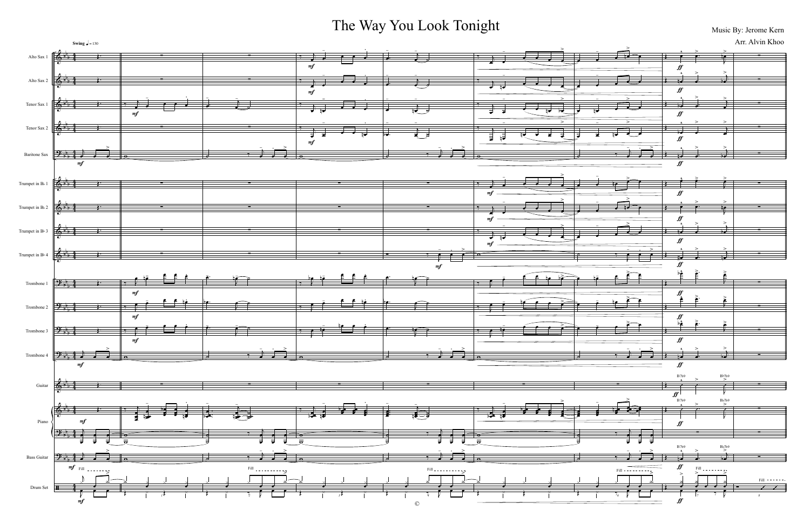## The Way You Look Tonight Music By: Jerome Kern

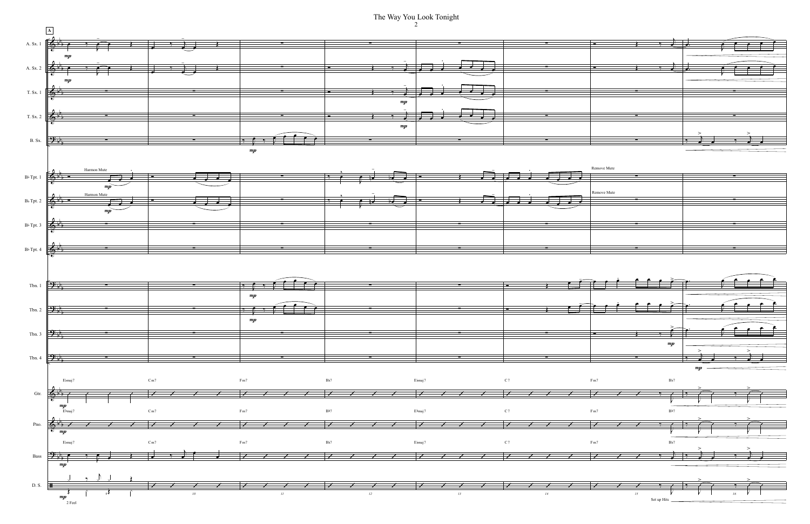The Way You Look Tonight

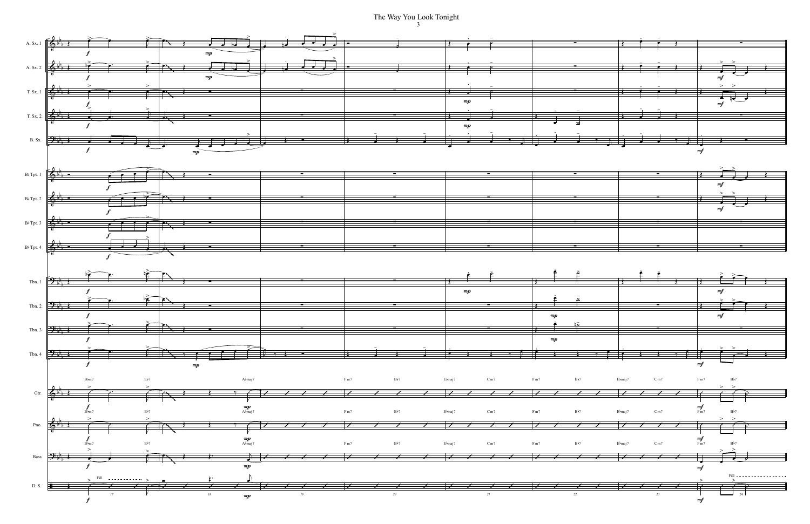The Way You Look Tonight  $\frac{3}{3}$ 

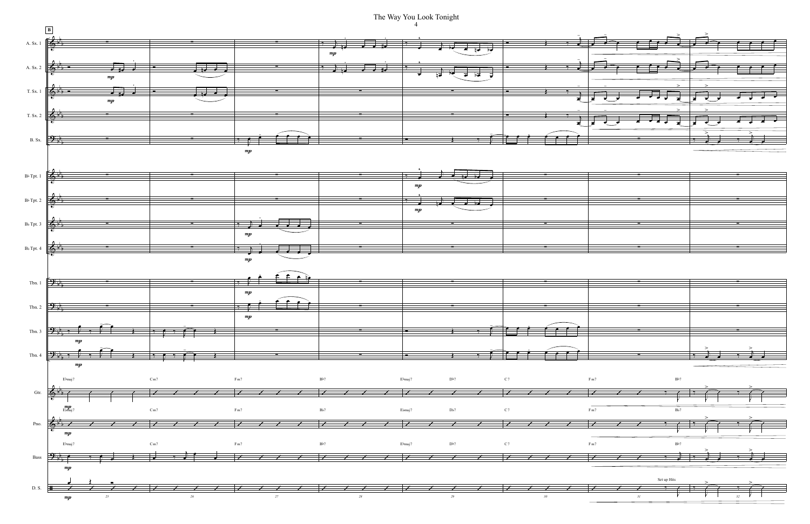The Way You Look Tonight  $\overline{4}$